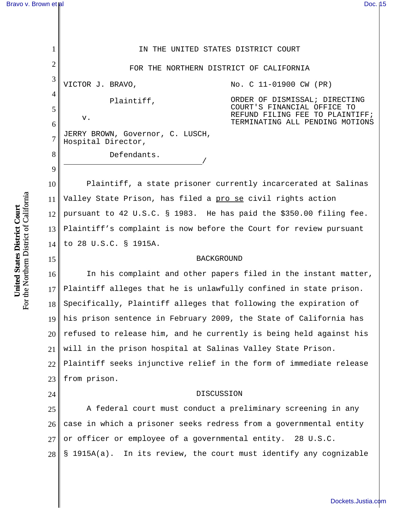| 1              | IN THE UNITED STATES DISTRICT COURT                                                                           |
|----------------|---------------------------------------------------------------------------------------------------------------|
| $\overline{2}$ | FOR THE NORTHERN DISTRICT OF CALIFORNIA                                                                       |
| 3              | VICTOR J. BRAVO,<br>No. C 11-01900 CW (PR)                                                                    |
| 4<br>5         | ORDER OF DISMISSAL; DIRECTING<br>Plaintiff,<br>COURT'S FINANCIAL OFFICE TO<br>REFUND FILING FEE TO PLAINTIFF; |
| 6              | v.<br>TERMINATING ALL PENDING MOTIONS                                                                         |
| $\overline{7}$ | JERRY BROWN, Governor, C. LUSCH,<br>Hospital Director,                                                        |
| 8              | Defendants.                                                                                                   |
| 9              |                                                                                                               |
| 10             | Plaintiff, a state prisoner currently incarcerated at Salinas                                                 |
| 11             | Valley State Prison, has filed a pro se civil rights action                                                   |
| 12             | pursuant to 42 U.S.C. § 1983. He has paid the \$350.00 filing fee.                                            |
| 13             | Plaintiff's complaint is now before the Court for review pursuant                                             |
| 14             | to 28 U.S.C. § 1915A.                                                                                         |
| 15             | <b>BACKGROUND</b>                                                                                             |
| 16             | In his complaint and other papers filed in the instant matter,                                                |
| 17             | Plaintiff alleges that he is unlawfully confined in state prison.                                             |
| 18             | Specifically, Plaintiff alleges that following the expiration of                                              |
|                | 19 his prison sentence in February 2009, the State of California has                                          |
| 20             | refused to release him, and he currently is being held against his                                            |
| 21             | will in the prison hospital at Salinas Valley State Prison.                                                   |
| 22             | Plaintiff seeks injunctive relief in the form of immediate release                                            |
| 23             | from prison.                                                                                                  |
| 24             | DISCUSSION                                                                                                    |
| 25             | A federal court must conduct a preliminary screening in any                                                   |
| 26             | case in which a prisoner seeks redress from a governmental entity                                             |
| 27             | or officer or employee of a governmental entity. 28 U.S.C.                                                    |

28 § 1915A(a). In its review, the court must identify any cognizable

United States District Court<br>For the Northern District of California For the Northern District of California **United States District Court**

27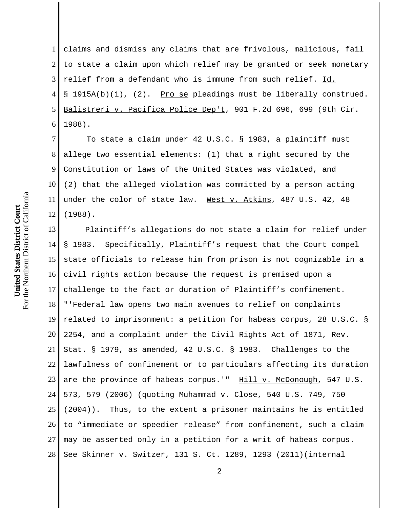1 2 3 4 5 6 claims and dismiss any claims that are frivolous, malicious, fail to state a claim upon which relief may be granted or seek monetary relief from a defendant who is immune from such relief. Id. § 1915A(b)(1), (2). Pro se pleadings must be liberally construed. Balistreri v. Pacifica Police Dep't, 901 F.2d 696, 699 (9th Cir. 1988).

7 8 9 10 11 12 To state a claim under 42 U.S.C. § 1983, a plaintiff must allege two essential elements: (1) that a right secured by the Constitution or laws of the United States was violated, and (2) that the alleged violation was committed by a person acting under the color of state law. West v. Atkins, 487 U.S. 42, 48 (1988).

13 14 15 16 17 18 19 20 21 22 23 24 25 26 27 28 Plaintiff's allegations do not state a claim for relief under § 1983. Specifically, Plaintiff's request that the Court compel state officials to release him from prison is not cognizable in a civil rights action because the request is premised upon a challenge to the fact or duration of Plaintiff's confinement. "'Federal law opens two main avenues to relief on complaints related to imprisonment: a petition for habeas corpus, 28 U.S.C. § 2254, and a complaint under the Civil Rights Act of 1871, Rev. Stat. § 1979, as amended, 42 U.S.C. § 1983. Challenges to the lawfulness of confinement or to particulars affecting its duration are the province of habeas corpus.'" Hill v. McDonough, 547 U.S. 573, 579 (2006) (quoting Muhammad v. Close, 540 U.S. 749, 750 (2004)). Thus, to the extent a prisoner maintains he is entitled to "immediate or speedier release" from confinement, such a claim may be asserted only in a petition for a writ of habeas corpus. See Skinner v. Switzer, 131 S. Ct. 1289, 1293 (2011)(internal

2